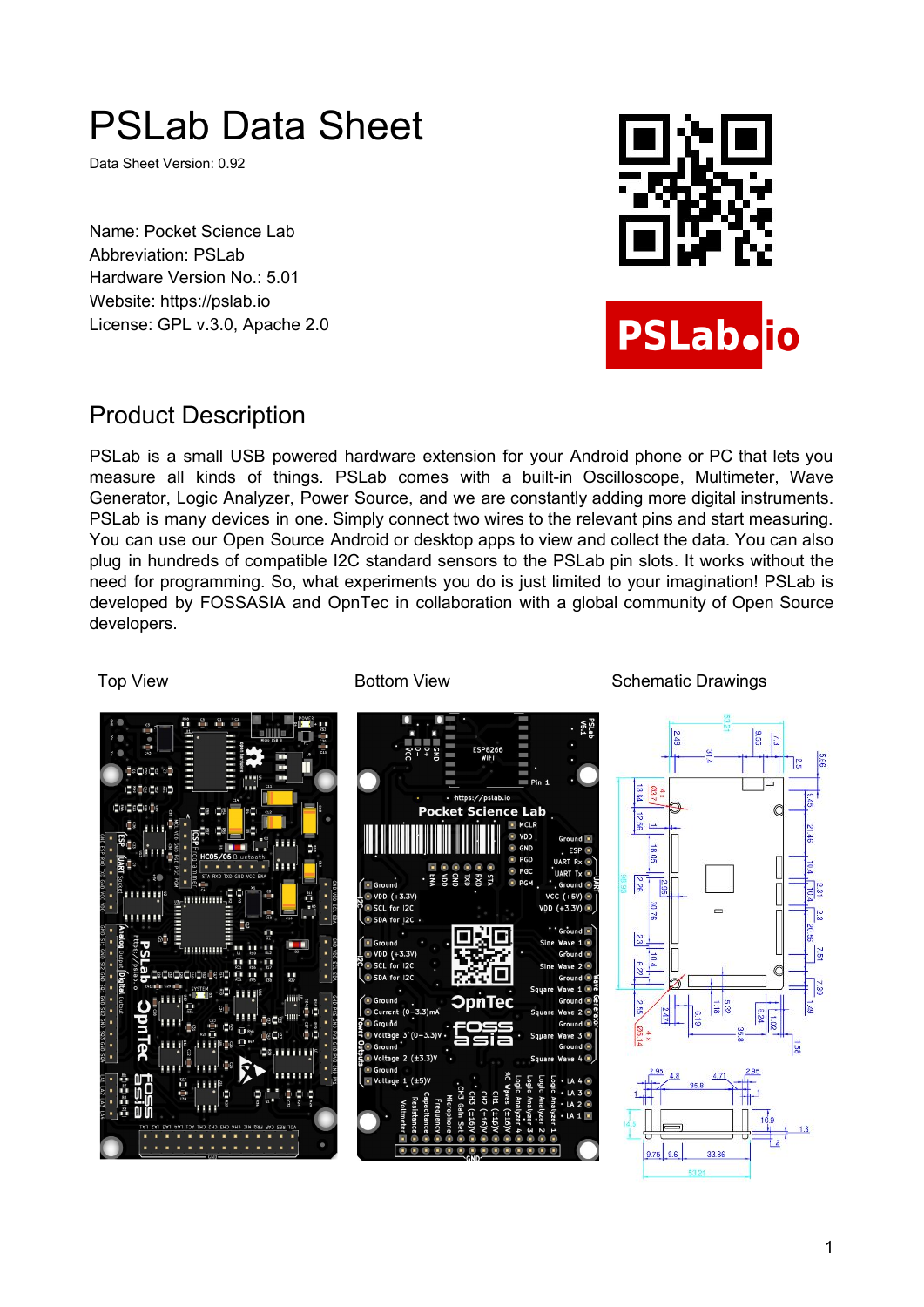# PSLab Data Sheet

Data Sheet Version: 0.92

Name: Pocket Science Lab Abbreviation: PSLab Hardware Version No.: 5.01 Website: https://pslab.io License: GPL v.3.0, Apache 2.0



## Product Description

PSLab is a small USB powered hardware extension for your Android phone or PC that lets you measure all kinds of things. PSLab comes with a built-in Oscilloscope, Multimeter, Wave Generator, Logic Analyzer, Power Source, and we are constantly adding more digital instruments. PSLab is many devices in one. Simply connect two wires to the relevant pins and start measuring. You can use our Open Source Android or desktop apps to view and collect the data. You can also plug in hundreds of compatible I2C standard sensors to the PSLab pin slots. It works without the need for programming. So, what experiments you do is just limited to your imagination! PSLab is developed by FOSSASIA and OpnTec in collaboration with a global community of Open Source developers.

Top View **Bottom View** Schematic Drawings

iğ, https://pslab.io 日間に関する場合 **Pocket Science Lab** minimi mmm G  $12C$  $nt (0-3.3)$ Voltage 3' (0-3.3) Voltage  $2$  (±3.3)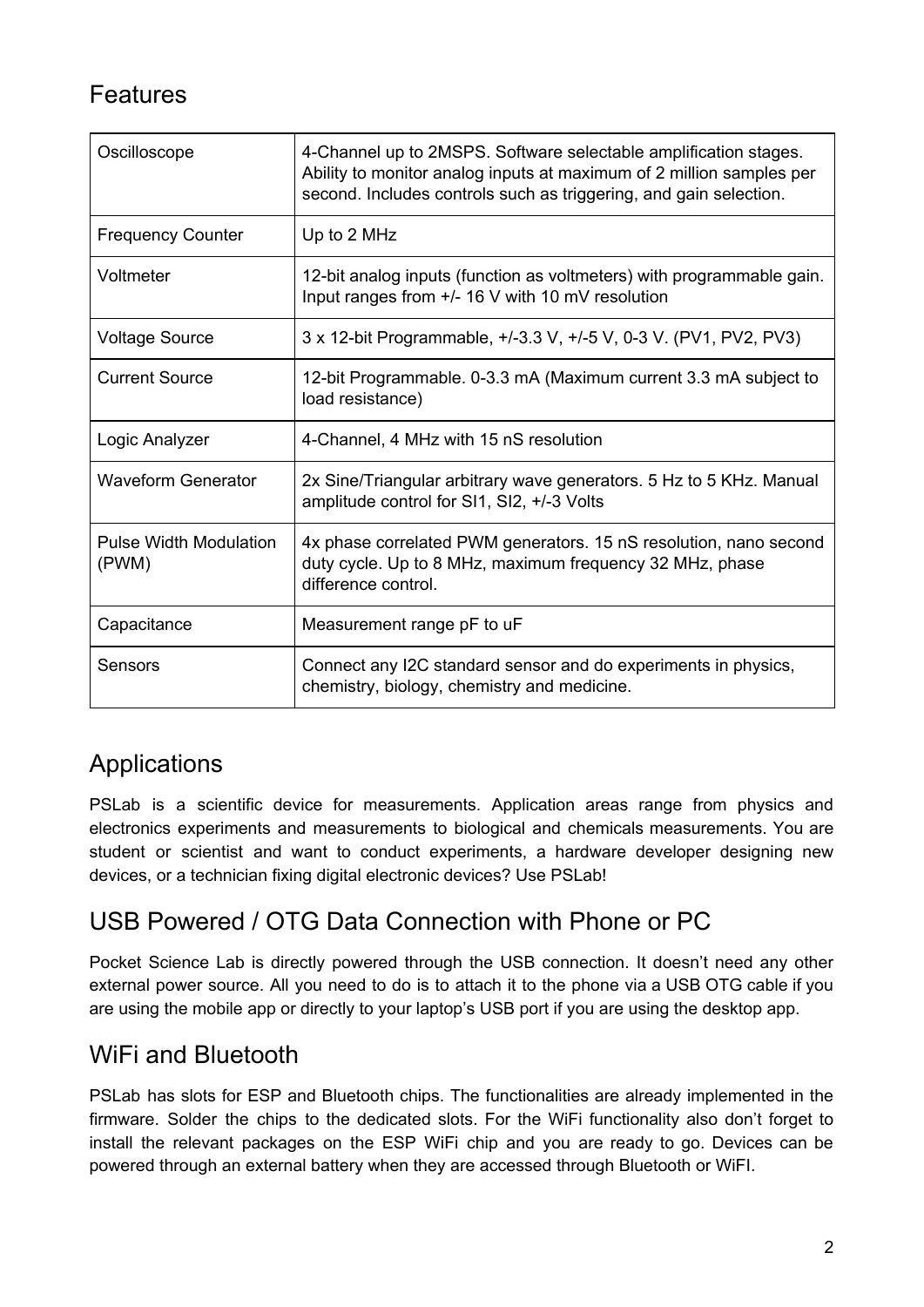## Features

| Oscilloscope                           | 4-Channel up to 2MSPS. Software selectable amplification stages.<br>Ability to monitor analog inputs at maximum of 2 million samples per<br>second. Includes controls such as triggering, and gain selection. |
|----------------------------------------|---------------------------------------------------------------------------------------------------------------------------------------------------------------------------------------------------------------|
| <b>Frequency Counter</b>               | Up to 2 MHz                                                                                                                                                                                                   |
| Voltmeter                              | 12-bit analog inputs (function as voltmeters) with programmable gain.<br>Input ranges from +/- 16 V with 10 mV resolution                                                                                     |
| <b>Voltage Source</b>                  | 3 x 12-bit Programmable, +/-3.3 V, +/-5 V, 0-3 V. (PV1, PV2, PV3)                                                                                                                                             |
| <b>Current Source</b>                  | 12-bit Programmable. 0-3.3 mA (Maximum current 3.3 mA subject to<br>load resistance)                                                                                                                          |
| Logic Analyzer                         | 4-Channel, 4 MHz with 15 nS resolution                                                                                                                                                                        |
| <b>Waveform Generator</b>              | 2x Sine/Triangular arbitrary wave generators. 5 Hz to 5 KHz. Manual<br>amplitude control for SI1, SI2, +/-3 Volts                                                                                             |
| <b>Pulse Width Modulation</b><br>(PWM) | 4x phase correlated PWM generators. 15 nS resolution, nano second<br>duty cycle. Up to 8 MHz, maximum frequency 32 MHz, phase<br>difference control.                                                          |
| Capacitance                            | Measurement range pF to uF                                                                                                                                                                                    |
| Sensors                                | Connect any I2C standard sensor and do experiments in physics,<br>chemistry, biology, chemistry and medicine.                                                                                                 |

## Applications

PSLab is a scientific device for measurements. Application areas range from physics and electronics experiments and measurements to biological and chemicals measurements. You are student or scientist and want to conduct experiments, a hardware developer designing new devices, or a technician fixing digital electronic devices? Use PSLab!

## USB Powered / OTG Data Connection with Phone or PC

Pocket Science Lab is directly powered through the USB connection. It doesn't need any other external power source. All you need to do is to attach it to the phone via a USB OTG cable if you are using the mobile app or directly to your laptop's USB port if you are using the desktop app.

### WiFi and Bluetooth

PSLab has slots for ESP and Bluetooth chips. The functionalities are already implemented in the firmware. Solder the chips to the dedicated slots. For the WiFi functionality also don't forget to install the relevant packages on the ESP WiFi chip and you are ready to go. Devices can be powered through an external battery when they are accessed through Bluetooth or WiFI.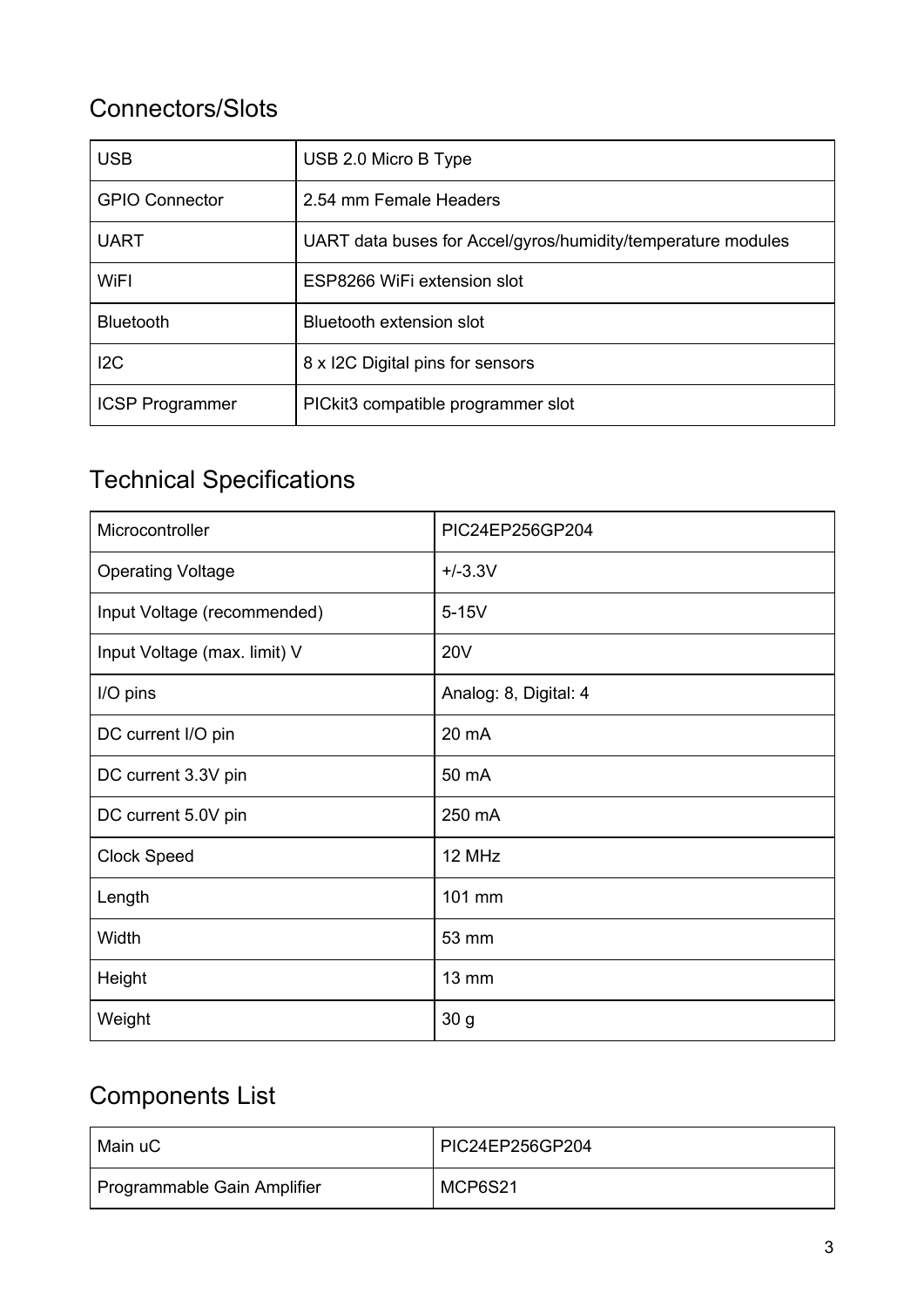## Connectors/Slots

| <b>USB</b>             | USB 2.0 Micro B Type                                         |  |
|------------------------|--------------------------------------------------------------|--|
| <b>GPIO Connector</b>  | 2.54 mm Female Headers                                       |  |
| <b>UART</b>            | UART data buses for Accel/gyros/humidity/temperature modules |  |
| WiFI                   | ESP8266 WiFi extension slot                                  |  |
| <b>Bluetooth</b>       | Bluetooth extension slot                                     |  |
| 12C                    | 8 x I2C Digital pins for sensors                             |  |
| <b>ICSP Programmer</b> | PICkit3 compatible programmer slot                           |  |

## Technical Specifications

| Microcontroller              | PIC24EP256GP204       |
|------------------------------|-----------------------|
| <b>Operating Voltage</b>     | $+/-3.3V$             |
| Input Voltage (recommended)  | $5-15V$               |
| Input Voltage (max. limit) V | <b>20V</b>            |
| I/O pins                     | Analog: 8, Digital: 4 |
| DC current I/O pin           | 20 mA                 |
| DC current 3.3V pin          | 50 mA                 |
| DC current 5.0V pin          | 250 mA                |
| <b>Clock Speed</b>           | 12 MHz                |
| Length                       | 101 mm                |
| Width                        | 53 mm                 |
| Height                       | 13 mm                 |
| Weight                       | 30 g                  |

## Components List

| Main uC                     | PIC24EP256GP204 |
|-----------------------------|-----------------|
| Programmable Gain Amplifier | MCP6S21         |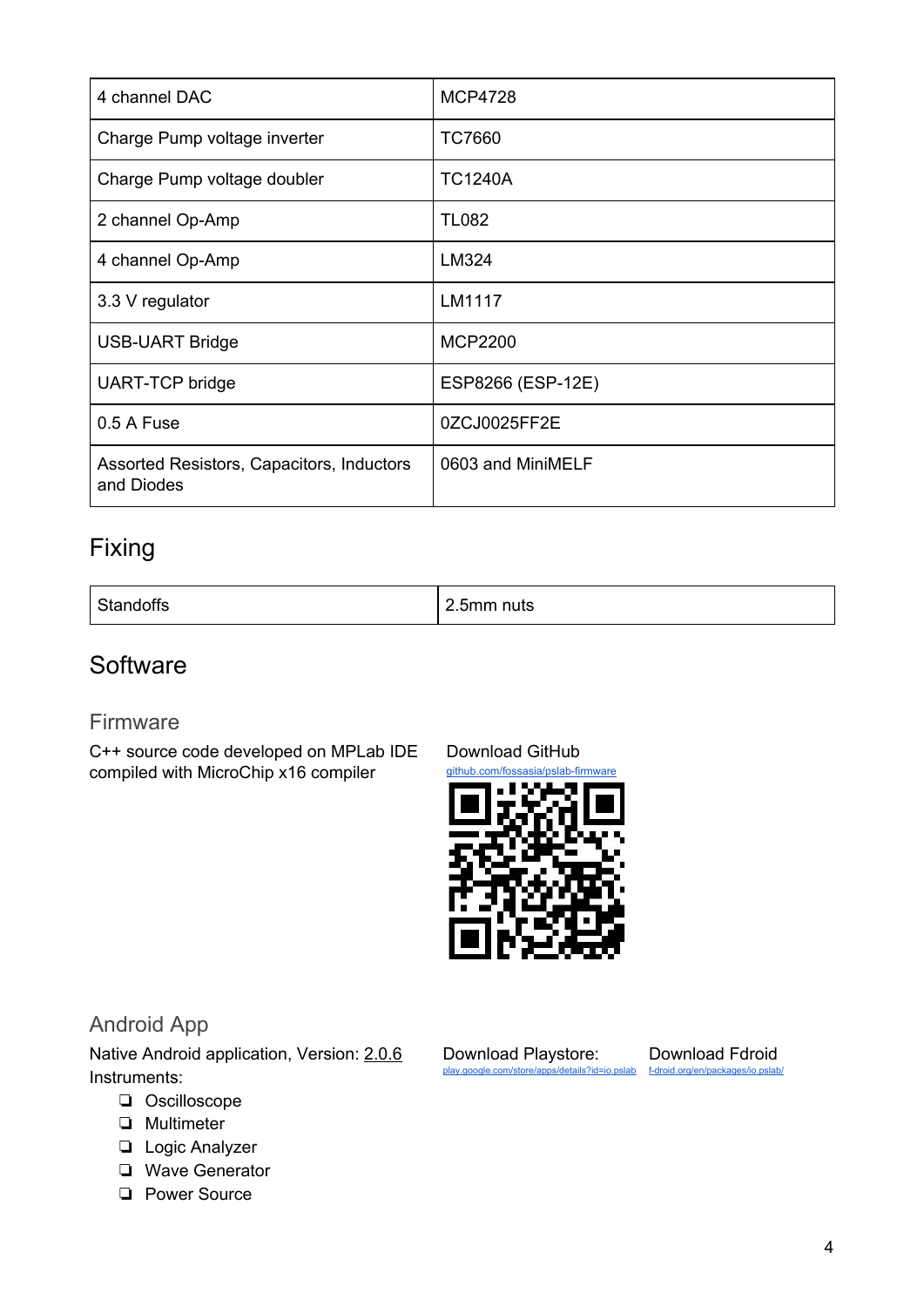| 4 channel DAC                                           | <b>MCP4728</b>    |
|---------------------------------------------------------|-------------------|
| Charge Pump voltage inverter                            | <b>TC7660</b>     |
| Charge Pump voltage doubler                             | <b>TC1240A</b>    |
| 2 channel Op-Amp                                        | <b>TL082</b>      |
| 4 channel Op-Amp                                        | LM324             |
| 3.3 V regulator                                         | LM1117            |
| <b>USB-UART Bridge</b>                                  | <b>MCP2200</b>    |
| <b>UART-TCP bridge</b>                                  | ESP8266 (ESP-12E) |
| 0.5 A Fuse                                              | 0ZCJ0025FF2E      |
| Assorted Resistors, Capacitors, Inductors<br>and Diodes | 0603 and MiniMELF |

## Fixing

| --<br>Standoffs | -<br>$\sim$<br>2.5mm nuts |
|-----------------|---------------------------|
|-----------------|---------------------------|

### **Software**

#### Firmware

C++ source code developed on MPLab IDE compiled with MicroChip x16 compiler

[Download](https://github.com/fossasia/pslab-firmware) GitHub



Download [Playstore:](https://play.google.com/store/apps/details?id=io.pslab) [play.google.com/store/apps/details?id=io.pslab](https://play.google.com/store/apps/details?id=io.pslab)

#### Android App

Native Android application, Version: [2.0.6](https://github.com/fossasia/pslab-android/releases/tag/v2.0.6) Instruments:

- ❏ Oscilloscope
- ❏ Multimeter
- ❏ Logic Analyzer
- ❏ Wave Generator
- ❏ Power Source

[Download](https://f-droid.org/en/packages/io.pslab/) Fdroid [f-droid.org/en/packages/io.pslab/](https://f-droid.org/en/packages/io.pslab/)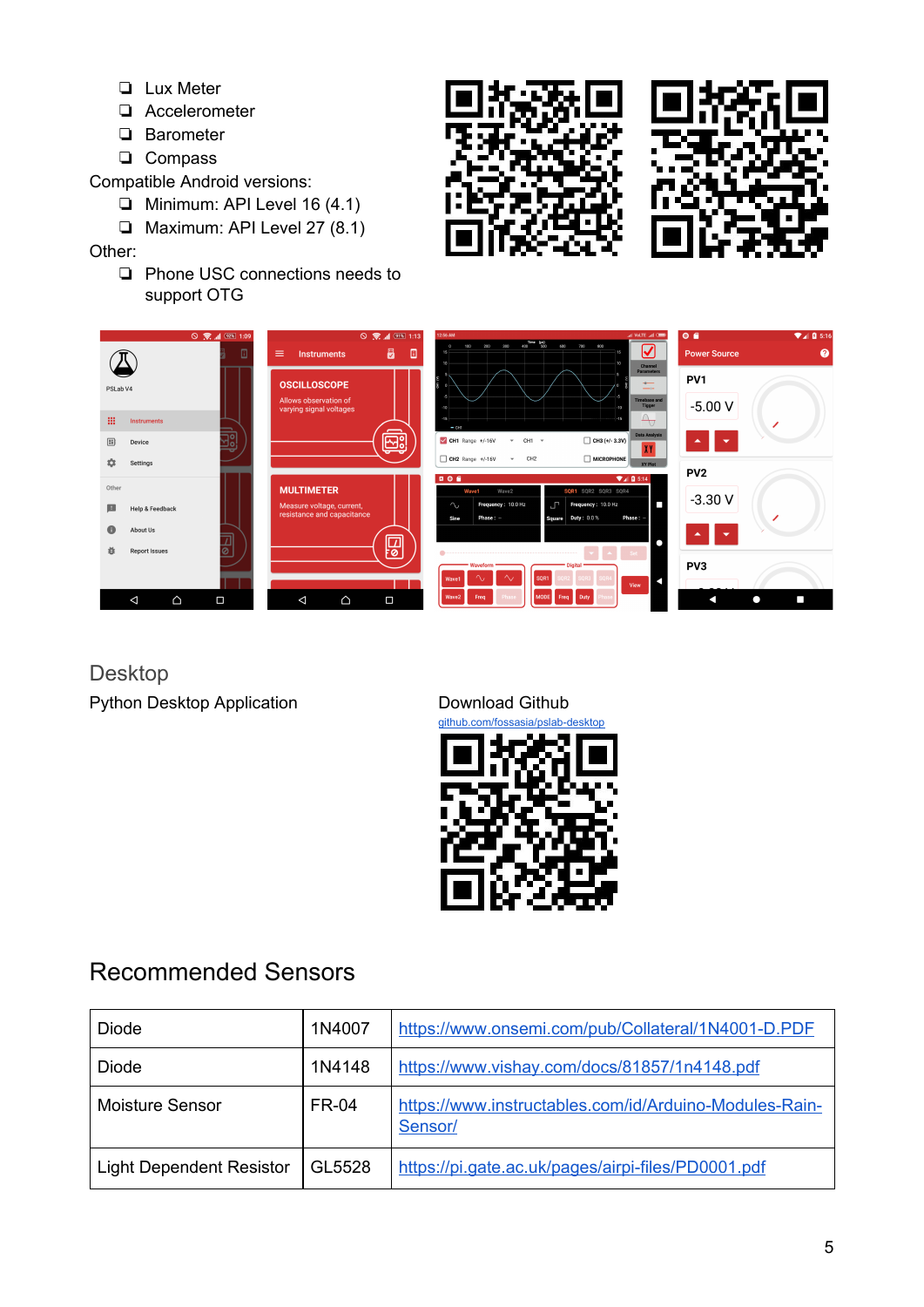- ❏ Lux Meter
- ❏ Accelerometer
- ❏ Barometer
- ❏ Compass

Compatible Android versions:

- ❏ Minimum: API Level 16 (4.1)
- ❏ Maximum: API Level 27 (8.1)

Other:

❏ Phone USC connections needs to support OTG





Desktop

Python Desktop Application **[Download](https://github.com/fossasia/pslab-desktop) Github** 



## Recommended Sensors

| <b>Diode</b>                    | 1N4007       | https://www.onsemi.com/pub/Collateral/1N4001-D.PDF                |
|---------------------------------|--------------|-------------------------------------------------------------------|
| Diode                           | 1N4148       | https://www.vishay.com/docs/81857/1n4148.pdf                      |
| <b>Moisture Sensor</b>          | <b>FR-04</b> | https://www.instructables.com/id/Arduino-Modules-Rain-<br>Sensor/ |
| <b>Light Dependent Resistor</b> | GL5528       | https://pi.gate.ac.uk/pages/airpi-files/PD0001.pdf                |